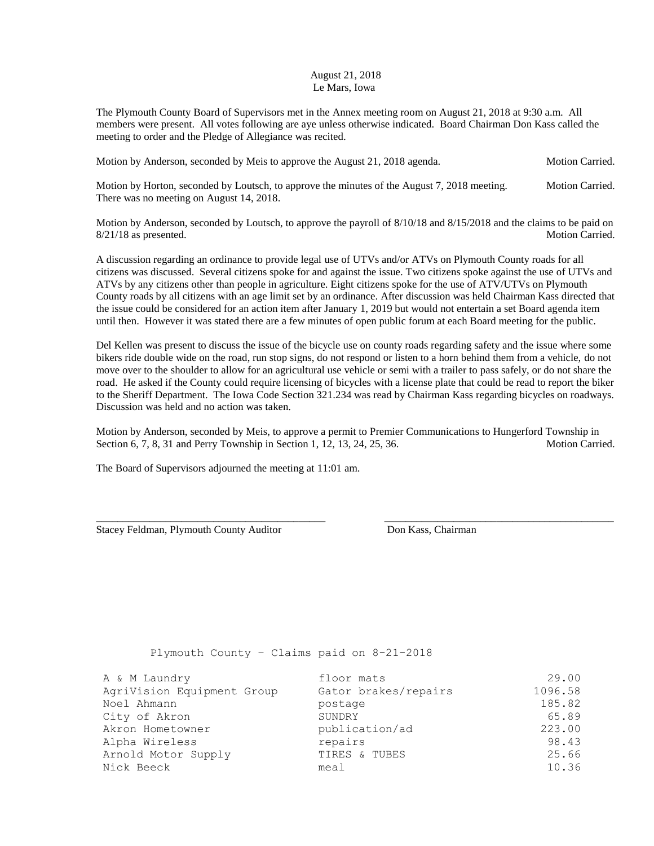## August 21, 2018 Le Mars, Iowa

The Plymouth County Board of Supervisors met in the Annex meeting room on August 21, 2018 at 9:30 a.m. All members were present. All votes following are aye unless otherwise indicated. Board Chairman Don Kass called the meeting to order and the Pledge of Allegiance was recited.

Motion by Anderson, seconded by Meis to approve the August 21, 2018 agenda. Motion Carried.

Motion by Horton, seconded by Loutsch, to approve the minutes of the August 7, 2018 meeting. Motion Carried. There was no meeting on August 14, 2018.

Motion by Anderson, seconded by Loutsch, to approve the payroll of 8/10/18 and 8/15/2018 and the claims to be paid on 8/21/18 as presented. Motion Carried.

A discussion regarding an ordinance to provide legal use of UTVs and/or ATVs on Plymouth County roads for all citizens was discussed. Several citizens spoke for and against the issue. Two citizens spoke against the use of UTVs and ATVs by any citizens other than people in agriculture. Eight citizens spoke for the use of ATV/UTVs on Plymouth County roads by all citizens with an age limit set by an ordinance. After discussion was held Chairman Kass directed that the issue could be considered for an action item after January 1, 2019 but would not entertain a set Board agenda item until then. However it was stated there are a few minutes of open public forum at each Board meeting for the public.

Del Kellen was present to discuss the issue of the bicycle use on county roads regarding safety and the issue where some bikers ride double wide on the road, run stop signs, do not respond or listen to a horn behind them from a vehicle, do not move over to the shoulder to allow for an agricultural use vehicle or semi with a trailer to pass safely, or do not share the road. He asked if the County could require licensing of bicycles with a license plate that could be read to report the biker to the Sheriff Department. The Iowa Code Section 321.234 was read by Chairman Kass regarding bicycles on roadways. Discussion was held and no action was taken.

Motion by Anderson, seconded by Meis, to approve a permit to Premier Communications to Hungerford Township in Section 6, 7, 8, 31 and Perry Township in Section 1, 12, 13, 24, 25, 36. Motion Carried.

\_\_\_\_\_\_\_\_\_\_\_\_\_\_\_\_\_\_\_\_\_\_\_\_\_\_\_\_\_\_\_\_\_\_\_\_\_\_\_\_\_\_\_ \_\_\_\_\_\_\_\_\_\_\_\_\_\_\_\_\_\_\_\_\_\_\_\_\_\_\_\_\_\_\_\_\_\_\_\_\_\_\_\_\_\_\_

The Board of Supervisors adjourned the meeting at 11:01 am.

Stacey Feldman, Plymouth County Auditor Don Kass, Chairman

Plymouth County – Claims paid on 8-21-2018

| A & M Laundry              | floor mats           | 29.00   |
|----------------------------|----------------------|---------|
| AgriVision Equipment Group | Gator brakes/repairs | 1096.58 |
| Noel Ahmann                | postage              | 185.82  |
| City of Akron              | SUNDRY               | 65.89   |
| Akron Hometowner           | publication/ad       | 223.00  |
| Alpha Wireless             | repairs              | 98.43   |
| Arnold Motor Supply        | TIRES & TUBES        | 25.66   |
| Nick Beeck                 | meal                 | 10.36   |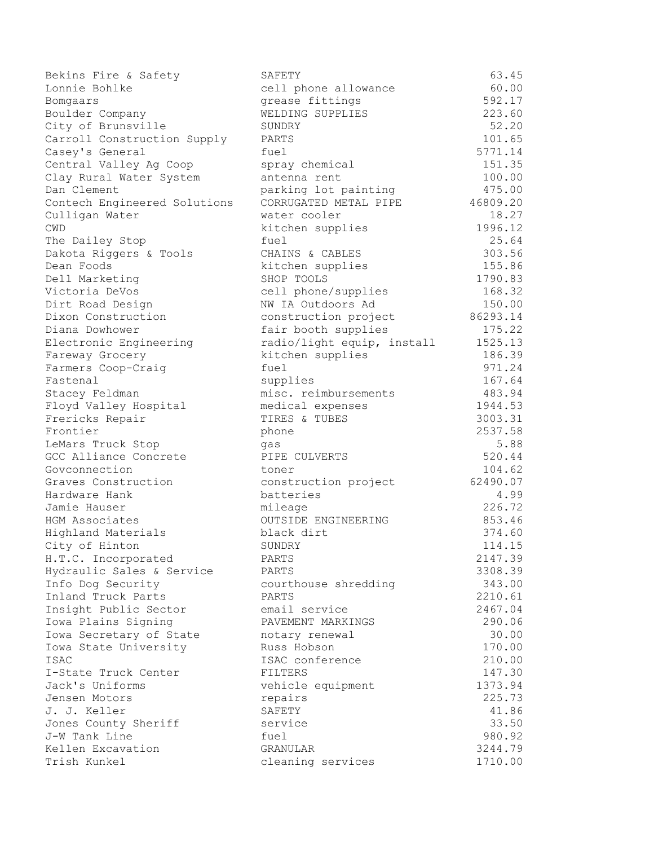| Bekins Fire & Safety         | SAFETY                     | 63.45    |
|------------------------------|----------------------------|----------|
| Lonnie Bohlke                | cell phone allowance       | 60.00    |
| Bomgaars                     | grease fittings            | 592.17   |
| Boulder Company              | WELDING SUPPLIES           | 223.60   |
| City of Brunsville           | SUNDRY                     | 52.20    |
| Carroll Construction Supply  | PARTS                      | 101.65   |
| Casey's General              | fuel                       | 5771.14  |
| Central Valley Ag Coop       | spray chemical             | 151.35   |
| Clay Rural Water System      | antenna rent               | 100.00   |
| Dan Clement                  | parking lot painting       | 475.00   |
| Contech Engineered Solutions | CORRUGATED METAL PIPE      | 46809.20 |
| Culligan Water               | water cooler               | 18.27    |
| CWD                          | kitchen supplies           | 1996.12  |
| The Dailey Stop              | fuel                       | 25.64    |
| Dakota Riggers & Tools       | CHAINS & CABLES            | 303.56   |
| Dean Foods                   | kitchen supplies           | 155.86   |
| Dell Marketing               | SHOP TOOLS                 | 1790.83  |
| Victoria DeVos               | cell phone/supplies        | 168.32   |
| Dirt Road Design             | NW IA Outdoors Ad          | 150.00   |
| Dixon Construction           | construction project       | 86293.14 |
| Diana Dowhower               | fair booth supplies        | 175.22   |
| Electronic Engineering       | radio/light equip, install | 1525.13  |
| Fareway Grocery              | kitchen supplies           | 186.39   |
| Farmers Coop-Craig           | fuel                       | 971.24   |
| Fastenal                     | supplies                   | 167.64   |
| Stacey Feldman               | misc. reimbursements       | 483.94   |
| Floyd Valley Hospital        | medical expenses           | 1944.53  |
| Frericks Repair              | TIRES & TUBES              | 3003.31  |
| Frontier                     | phone                      | 2537.58  |
| LeMars Truck Stop            | qas                        | 5.88     |
| GCC Alliance Concrete        | PIPE CULVERTS              | 520.44   |
| Govconnection                | toner                      | 104.62   |
| Graves Construction          | construction project       | 62490.07 |
| Hardware Hank                | batteries                  | 4.99     |
| Jamie Hauser                 | mileage                    | 226.72   |
| HGM Associates               | OUTSIDE ENGINEERING        | 853.46   |
| Highland Materials           | black dirt                 | 374.60   |
| City of Hinton               | SUNDRY                     | 114.15   |
| H.T.C. Incorporated          | PARTS                      | 2147.39  |
| Hydraulic Sales & Service    | PARTS                      | 3308.39  |
| Info Dog Security            | courthouse shredding       | 343.00   |
| Inland Truck Parts           | PARTS                      | 2210.61  |
| Insight Public Sector        | email service              | 2467.04  |
| Iowa Plains Signing          | PAVEMENT MARKINGS          | 290.06   |
| Iowa Secretary of State      | notary renewal             | 30.00    |
| Iowa State University        | Russ Hobson                | 170.00   |
| ISAC                         | ISAC conference            | 210.00   |
| I-State Truck Center         | FILTERS                    | 147.30   |
| Jack's Uniforms              | vehicle equipment          | 1373.94  |
| Jensen Motors                | repairs                    | 225.73   |
| J. J. Keller                 | SAFETY                     | 41.86    |
| Jones County Sheriff         | service                    | 33.50    |
| J-W Tank Line                | fuel                       | 980.92   |
| Kellen Excavation            | GRANULAR                   | 3244.79  |
| Trish Kunkel                 | cleaning services          | 1710.00  |
|                              |                            |          |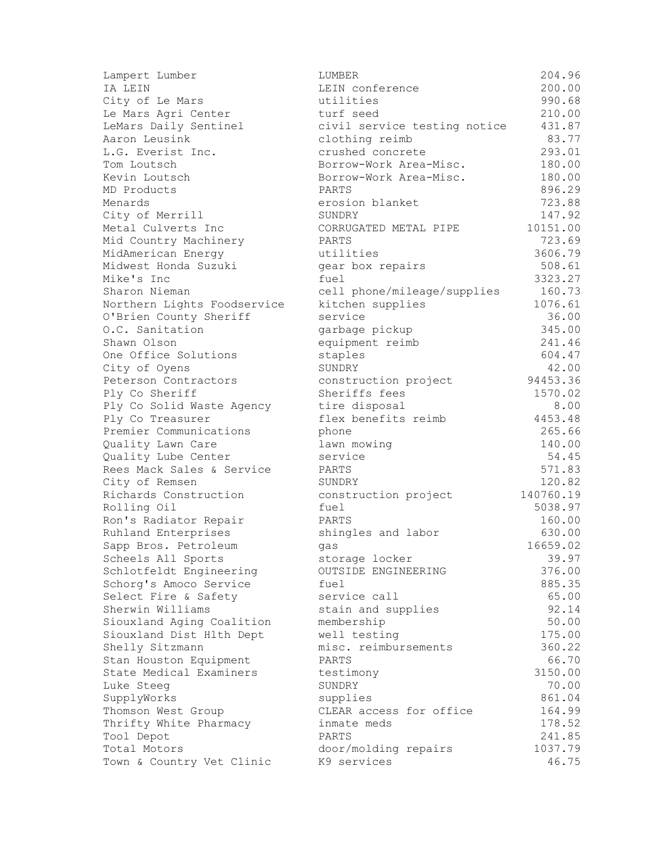| Lampert Lumber                    | LUMBER                              | 204.96    |
|-----------------------------------|-------------------------------------|-----------|
| IA LEIN                           | LEIN conference                     | 200.00    |
| City of Le Mars                   | utilities                           | 990.68    |
| Le Mars Agri Center               | turf seed                           | 210.00    |
| LeMars Daily Sentinel             | civil service testing notice        | 431.87    |
| Aaron Leusink                     | clothing reimb                      | 83.77     |
| L.G. Everist Inc.                 | crushed concrete                    | 293.01    |
| Tom Loutsch                       | Borrow-Work Area-Misc.              | 180.00    |
| Kevin Loutsch                     | Borrow-Work Area-Misc.              | 180.00    |
| MD Products                       | PARTS                               | 896.29    |
| Menards                           | erosion blanket                     | 723.88    |
| City of Merrill                   | SUNDRY                              | 147.92    |
| Metal Culverts Inc                | CORRUGATED METAL PIPE               | 10151.00  |
| Mid Country Machinery             | PARTS                               | 723.69    |
| MidAmerican Energy                | utilities                           | 3606.79   |
| Midwest Honda Suzuki              | gear box repairs                    | 508.61    |
| Mike's Inc                        | fuel                                | 3323.27   |
| Sharon Nieman                     | cell phone/mileage/supplies         | 160.73    |
| Northern Lights Foodservice       | kitchen supplies                    | 1076.61   |
| O'Brien County Sheriff            | service                             | 36.00     |
| O.C. Sanitation                   | garbage pickup                      | 345.00    |
| Shawn Olson                       | equipment reimb                     | 241.46    |
| One Office Solutions              | staples                             | 604.47    |
| City of Oyens                     | SUNDRY                              | 42.00     |
| Peterson Contractors              | construction project                | 94453.36  |
| Ply Co Sheriff                    | Sheriffs fees                       | 1570.02   |
| Ply Co Solid Waste Agency         | tire disposal                       | 8.00      |
| Ply Co Treasurer                  | flex benefits reimb                 | 4453.48   |
| Premier Communications            | phone                               | 265.66    |
| Quality Lawn Care                 | lawn mowing                         | 140.00    |
| Quality Lube Center               | service                             | 54.45     |
| Rees Mack Sales & Service         | PARTS                               | 571.83    |
| City of Remsen                    | SUNDRY                              | 120.82    |
| Richards Construction             | construction project                | 140760.19 |
| Rolling Oil                       | fuel                                | 5038.97   |
| Ron's Radiator Repair             | PARTS                               | 160.00    |
| Ruhland Enterprises               | shingles and labor                  | 630.00    |
| Sapp Bros. Petroleum              | gas                                 | 16659.02  |
| Scheels All Sports                | storage locker                      | 39.97     |
| Schlotfeldt Engineering           | OUTSIDE ENGINEERING                 | 376.00    |
| Schorg's Amoco Service            | fuel                                | 885.35    |
| Select Fire & Safety              | service call                        | 65.00     |
| Sherwin Williams                  | stain and supplies                  | 92.14     |
| Siouxland Aging Coalition         | membership                          | 50.00     |
| Siouxland Dist Hlth Dept          | well testing                        | 175.00    |
| Shelly Sitzmann                   | misc. reimbursements                | 360.22    |
| Stan Houston Equipment            | PARTS                               | 66.70     |
| State Medical Examiners           | testimony                           | 3150.00   |
| Luke Steeg                        | SUNDRY                              | 70.00     |
|                                   |                                     | 861.04    |
| SupplyWorks<br>Thomson West Group | supplies<br>CLEAR access for office | 164.99    |
| Thrifty White Pharmacy            | inmate meds                         | 178.52    |
| Tool Depot                        | PARTS                               | 241.85    |
| Total Motors                      |                                     | 1037.79   |
|                                   | door/molding repairs                |           |
| Town & Country Vet Clinic         | K9 services                         | 46.75     |